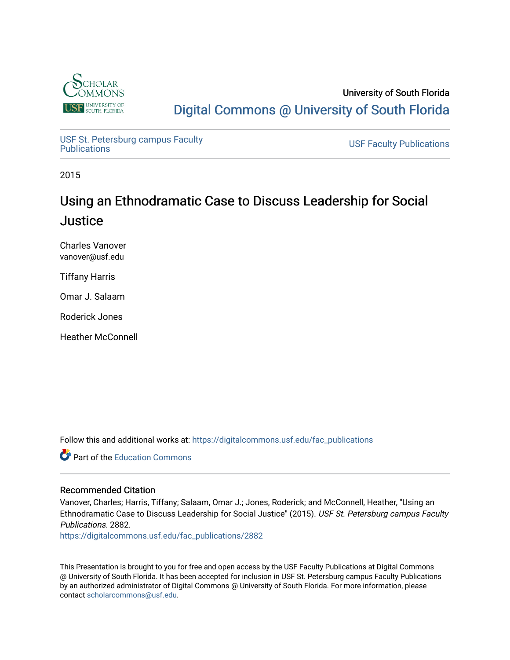

University of South Florida [Digital Commons @ University of South Florida](https://digitalcommons.usf.edu/) 

USF St. Petersburg campus Faculty<br>Publications

**USF Faculty Publications** 

2015

## Using an Ethnodramatic Case to Discuss Leadership for Social **Justice**

Charles Vanover vanover@usf.edu

Tiffany Harris

Omar J. Salaam

Roderick Jones

Heather McConnell

Follow this and additional works at: [https://digitalcommons.usf.edu/fac\\_publications](https://digitalcommons.usf.edu/fac_publications?utm_source=digitalcommons.usf.edu%2Ffac_publications%2F2882&utm_medium=PDF&utm_campaign=PDFCoverPages)

**C** Part of the [Education Commons](http://network.bepress.com/hgg/discipline/784?utm_source=digitalcommons.usf.edu%2Ffac_publications%2F2882&utm_medium=PDF&utm_campaign=PDFCoverPages)

#### Recommended Citation

Vanover, Charles; Harris, Tiffany; Salaam, Omar J.; Jones, Roderick; and McConnell, Heather, "Using an Ethnodramatic Case to Discuss Leadership for Social Justice" (2015). USF St. Petersburg campus Faculty Publications. 2882.

[https://digitalcommons.usf.edu/fac\\_publications/2882](https://digitalcommons.usf.edu/fac_publications/2882?utm_source=digitalcommons.usf.edu%2Ffac_publications%2F2882&utm_medium=PDF&utm_campaign=PDFCoverPages) 

This Presentation is brought to you for free and open access by the USF Faculty Publications at Digital Commons @ University of South Florida. It has been accepted for inclusion in USF St. Petersburg campus Faculty Publications by an authorized administrator of Digital Commons @ University of South Florida. For more information, please contact [scholarcommons@usf.edu](mailto:scholarcommons@usf.edu).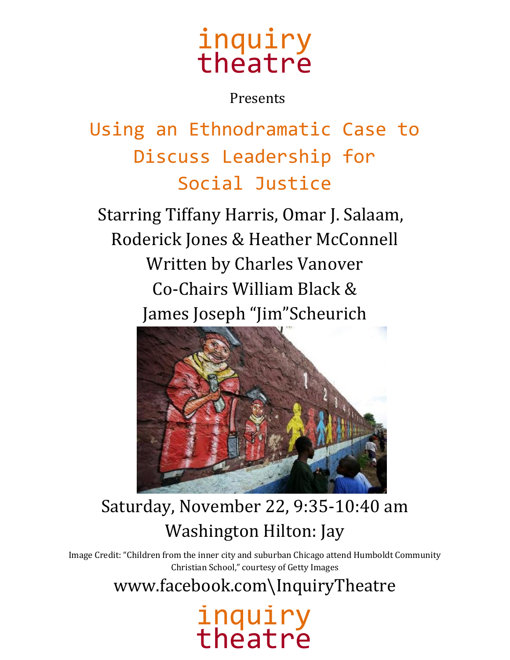# inquiry theatre

### Presents

Using an Ethnodramatic Case to Discuss Leadership for Social Justice

Starring Tiffany Harris, Omar J. Salaam, Roderick Jones & Heather McConnell Written by Charles Vanover Co-Chairs William Black & James Joseph "Jim"Scheurich



## Saturday, November 22, 9:35-10:40 am Washington Hilton: Jay

Image Credit: "Children from the inner city and suburban Chicago attend Humboldt Community Christian School," courtesy of Getty Images

www.facebook.com\InquiryTheatre

# inquiry theatre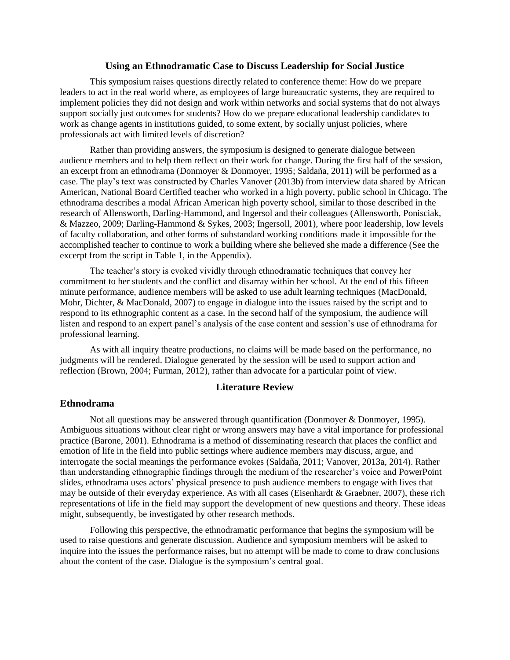#### **Using an Ethnodramatic Case to Discuss Leadership for Social Justice**

This symposium raises questions directly related to conference theme: How do we prepare leaders to act in the real world where, as employees of large bureaucratic systems, they are required to implement policies they did not design and work within networks and social systems that do not always support socially just outcomes for students? How do we prepare educational leadership candidates to work as change agents in institutions guided, to some extent, by socially unjust policies, where professionals act with limited levels of discretion?

Rather than providing answers, the symposium is designed to generate dialogue between audience members and to help them reflect on their work for change. During the first half of the session, an excerpt from an ethnodrama [\(Donmoyer & Donmoyer, 1995;](#page-4-0) [Saldaña, 2011\)](#page-4-1) will be performed as a case. The play's text was constructed by Charles Vanover [\(2013b\)](#page-4-2) from interview data shared by African American, National Board Certified teacher who worked in a high poverty, public school in Chicago. The ethnodrama describes a modal African American high poverty school, similar to those described in the research of Allensworth, Darling-Hammond, and Ingersol and their colleagues [\(Allensworth, Ponisciak,](#page-4-3)  [& Mazzeo, 2009;](#page-4-3) [Darling-Hammond & Sykes, 2003;](#page-4-4) [Ingersoll, 2001\)](#page-4-5), where poor leadership, low levels of faculty collaboration, and other forms of substandard working conditions made it impossible for the accomplished teacher to continue to work a building where she believed she made a difference (See the excerpt from the script in Table 1, in the Appendix).

The teacher's story is evoked vividly through ethnodramatic techniques that convey her commitment to her students and the conflict and disarray within her school. At the end of this fifteen minute performance, audience members will be asked to use adult learning techniques [\(MacDonald,](#page-4-6)  [Mohr, Dichter, & MacDonald, 2007\)](#page-4-6) to engage in dialogue into the issues raised by the script and to respond to its ethnographic content as a case. In the second half of the symposium, the audience will listen and respond to an expert panel's analysis of the case content and session's use of ethnodrama for professional learning.

As with all inquiry theatre productions, no claims will be made based on the performance, no judgments will be rendered. Dialogue generated by the session will be used to support action and reflection [\(Brown, 2004;](#page-4-7) [Furman, 2012\)](#page-4-8), rather than advocate for a particular point of view.

#### **Literature Review**

#### **Ethnodrama**

Not all questions may be answered through quantification [\(Donmoyer & Donmoyer, 1995\)](#page-4-0). Ambiguous situations without clear right or wrong answers may have a vital importance for professional practice [\(Barone, 2001\)](#page-4-9). Ethnodrama is a method of disseminating research that places the conflict and emotion of life in the field into public settings where audience members may discuss, argue, and interrogate the social meanings the performance evokes [\(Saldaña, 2011;](#page-4-1) [Vanover, 2013a,](#page-4-10) [2014\)](#page-4-11). Rather than understanding ethnographic findings through the medium of the researcher's voice and PowerPoint slides, ethnodrama uses actors' physical presence to push audience members to engage with lives that may be outside of their everyday experience. As with all cases [\(Eisenhardt & Graebner, 2007\)](#page-4-12), these rich representations of life in the field may support the development of new questions and theory. These ideas might, subsequently, be investigated by other research methods.

Following this perspective, the ethnodramatic performance that begins the symposium will be used to raise questions and generate discussion. Audience and symposium members will be asked to inquire into the issues the performance raises, but no attempt will be made to come to draw conclusions about the content of the case. Dialogue is the symposium's central goal.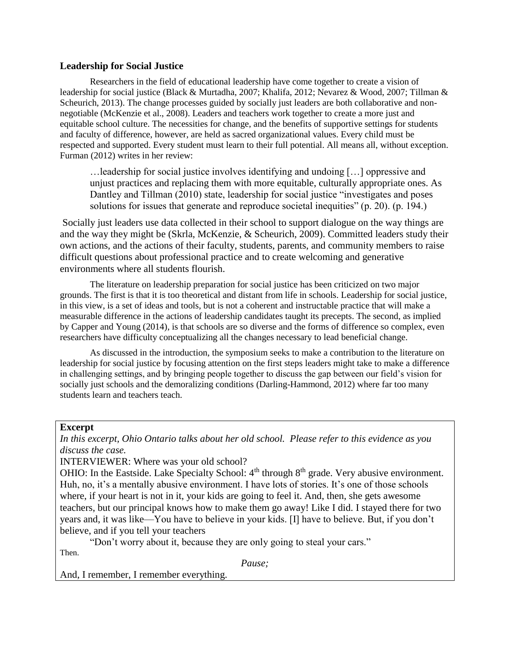#### **Leadership for Social Justice**

Researchers in the field of educational leadership have come together to create a vision of leadership for social justice [\(Black & Murtadha, 2007;](#page-4-13) [Khalifa, 2012;](#page-4-14) [Nevarez & Wood, 2007;](#page-4-15) [Tillman &](#page-4-16)  [Scheurich, 2013\)](#page-4-16). The change processes guided by socially just leaders are both collaborative and nonnegotiable [\(McKenzie et al., 2008\)](#page-4-17). Leaders and teachers work together to create a more just and equitable school culture. The necessities for change, and the benefits of supportive settings for students and faculty of difference, however, are held as sacred organizational values. Every child must be respected and supported. Every student must learn to their full potential. All means all, without exception. [Furman \(2012\)](#page-4-8) writes in her review:

…leadership for social justice involves identifying and undoing […] oppressive and unjust practices and replacing them with more equitable, culturally appropriate ones. As Dantley and Tillman (2010) state, leadership for social justice "investigates and poses solutions for issues that generate and reproduce societal inequities" (p. 20). (p. 194.)

Socially just leaders use data collected in their school to support dialogue on the way things are and the way they might be [\(Skrla, McKenzie, & Scheurich, 2009\)](#page-4-18). Committed leaders study their own actions, and the actions of their faculty, students, parents, and community members to raise difficult questions about professional practice and to create welcoming and generative environments where all students flourish.

The literature on leadership preparation for social justice has been criticized on two major grounds. The first is that it is too theoretical and distant from life in schools. Leadership for social justice, in this view, is a set of ideas and tools, but is not a coherent and instructable practice that will make a measurable difference in the actions of leadership candidates taught its precepts. The second, as implied by [Capper and Young \(2014\)](#page-4-19), is that schools are so diverse and the forms of difference so complex, even researchers have difficulty conceptualizing all the changes necessary to lead beneficial change.

As discussed in the introduction, the symposium seeks to make a contribution to the literature on leadership for social justice by focusing attention on the first steps leaders might take to make a difference in challenging settings, and by bringing people together to discuss the gap between our field's vision for socially just schools and the demoralizing conditions [\(Darling-Hammond, 2012\)](#page-4-20) where far too many students learn and teachers teach.

#### **Excerpt**

*In this excerpt, Ohio Ontario talks about her old school. Please refer to this evidence as you discuss the case.* 

INTERVIEWER: Where was your old school?

OHIO: In the Eastside. Lake Specialty School:  $4<sup>th</sup>$  through  $8<sup>th</sup>$  grade. Very abusive environment. Huh, no, it's a mentally abusive environment. I have lots of stories. It's one of those schools where, if your heart is not in it, your kids are going to feel it. And, then, she gets awesome teachers, but our principal knows how to make them go away! Like I did. I stayed there for two years and, it was like—You have to believe in your kids. [I] have to believe. But, if you don't believe, and if you tell your teachers

"Don't worry about it, because they are only going to steal your cars."

Then.

*Pause;*

And, I remember, I remember everything.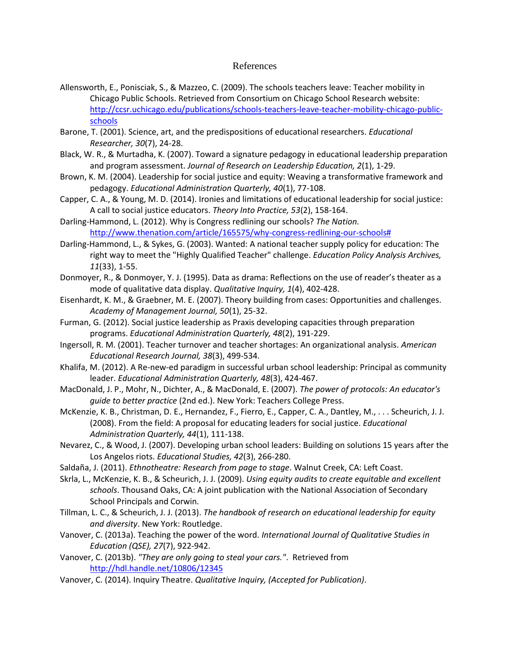#### References

- <span id="page-4-3"></span>Allensworth, E., Ponisciak, S., & Mazzeo, C. (2009). The schools teachers leave: Teacher mobility in Chicago Public Schools. Retrieved from Consortium on Chicago School Research website: [http://ccsr.uchicago.edu/publications/schools-teachers-leave-teacher-mobility-chicago-public](http://ccsr.uchicago.edu/publications/schools-teachers-leave-teacher-mobility-chicago-public-schools)[schools](http://ccsr.uchicago.edu/publications/schools-teachers-leave-teacher-mobility-chicago-public-schools)
- <span id="page-4-9"></span>Barone, T. (2001). Science, art, and the predispositions of educational researchers. *Educational Researcher, 30*(7), 24-28.
- <span id="page-4-13"></span>Black, W. R., & Murtadha, K. (2007). Toward a signature pedagogy in educational leadership preparation and program assessment. *Journal of Research on Leadership Education, 2*(1), 1-29.
- <span id="page-4-7"></span>Brown, K. M. (2004). Leadership for social justice and equity: Weaving a transformative framework and pedagogy. *Educational Administration Quarterly, 40*(1), 77-108.
- <span id="page-4-19"></span>Capper, C. A., & Young, M. D. (2014). Ironies and limitations of educational leadership for social justice: A call to social justice educators. *Theory Into Practice, 53*(2), 158-164.
- <span id="page-4-20"></span>Darling-Hammond, L. (2012). Why is Congress redlining our schools? *The Nation*. [http://www.thenation.com/article/165575/why-congress-redlining-our-schools#](http://www.thenation.com/article/165575/why-congress-redlining-our-schools)
- <span id="page-4-4"></span>Darling-Hammond, L., & Sykes, G. (2003). Wanted: A national teacher supply policy for education: The right way to meet the "Highly Qualified Teacher" challenge. *Education Policy Analysis Archives, 11*(33), 1-55.
- <span id="page-4-0"></span>Donmoyer, R., & Donmoyer, Y. J. (1995). Data as drama: Reflections on the use of reader's theater as a mode of qualitative data display. *Qualitative Inquiry, 1*(4), 402-428.
- <span id="page-4-12"></span>Eisenhardt, K. M., & Graebner, M. E. (2007). Theory building from cases: Opportunities and challenges. *Academy of Management Journal, 50*(1), 25-32.
- <span id="page-4-8"></span>Furman, G. (2012). Social justice leadership as Praxis developing capacities through preparation programs. *Educational Administration Quarterly, 48*(2), 191-229.
- <span id="page-4-5"></span>Ingersoll, R. M. (2001). Teacher turnover and teacher shortages: An organizational analysis. *American Educational Research Journal, 38*(3), 499-534.
- <span id="page-4-14"></span>Khalifa, M. (2012). A Re-new-ed paradigm in successful urban school leadership: Principal as community leader. *Educational Administration Quarterly, 48*(3), 424-467.
- <span id="page-4-6"></span>MacDonald, J. P., Mohr, N., Dichter, A., & MacDonald, E. (2007). *The power of protocols: An educator's guide to better practice* (2nd ed.). New York: Teachers College Press.
- <span id="page-4-17"></span>McKenzie, K. B., Christman, D. E., Hernandez, F., Fierro, E., Capper, C. A., Dantley, M., . . . Scheurich, J. J. (2008). From the field: A proposal for educating leaders for social justice. *Educational Administration Quarterly, 44*(1), 111-138.
- <span id="page-4-15"></span>Nevarez, C., & Wood, J. (2007). Developing urban school leaders: Building on solutions 15 years after the Los Angelos riots. *Educational Studies, 42*(3), 266-280.
- <span id="page-4-1"></span>Saldaña, J. (2011). *Ethnotheatre: Research from page to stage*. Walnut Creek, CA: Left Coast.
- <span id="page-4-18"></span>Skrla, L., McKenzie, K. B., & Scheurich, J. J. (2009). *Using equity audits to create equitable and excellent schools*. Thousand Oaks, CA: A joint publication with the National Association of Secondary School Principals and Corwin.
- <span id="page-4-16"></span>Tillman, L. C., & Scheurich, J. J. (2013). *The handbook of research on educational leadership for equity and diversity*. New York: Routledge.
- <span id="page-4-10"></span>Vanover, C. (2013a). Teaching the power of the word. *International Journal of Qualitative Studies in Education (QSE), 27*(7), 922-942.
- <span id="page-4-2"></span>Vanover, C. (2013b). *"They are only going to steal your cars."*. Retrieved from <http://hdl.handle.net/10806/12345>
- <span id="page-4-11"></span>Vanover, C. (2014). Inquiry Theatre. *Qualitative Inquiry, (Accepted for Publication)*.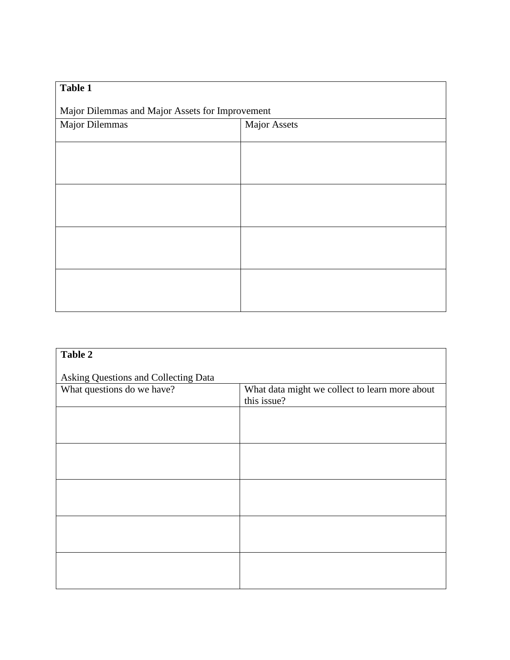| Table 1                                         |                     |  |  |
|-------------------------------------------------|---------------------|--|--|
| Major Dilemmas and Major Assets for Improvement |                     |  |  |
| Major Dilemmas                                  | <b>Major Assets</b> |  |  |
|                                                 |                     |  |  |
|                                                 |                     |  |  |
|                                                 |                     |  |  |
|                                                 |                     |  |  |
|                                                 |                     |  |  |
|                                                 |                     |  |  |
|                                                 |                     |  |  |
|                                                 |                     |  |  |

| Asking Questions and Collecting Data                          |  |  |  |  |
|---------------------------------------------------------------|--|--|--|--|
| What data might we collect to learn more about<br>this issue? |  |  |  |  |
|                                                               |  |  |  |  |
|                                                               |  |  |  |  |
|                                                               |  |  |  |  |
|                                                               |  |  |  |  |
|                                                               |  |  |  |  |
|                                                               |  |  |  |  |
|                                                               |  |  |  |  |
|                                                               |  |  |  |  |
|                                                               |  |  |  |  |
|                                                               |  |  |  |  |
|                                                               |  |  |  |  |